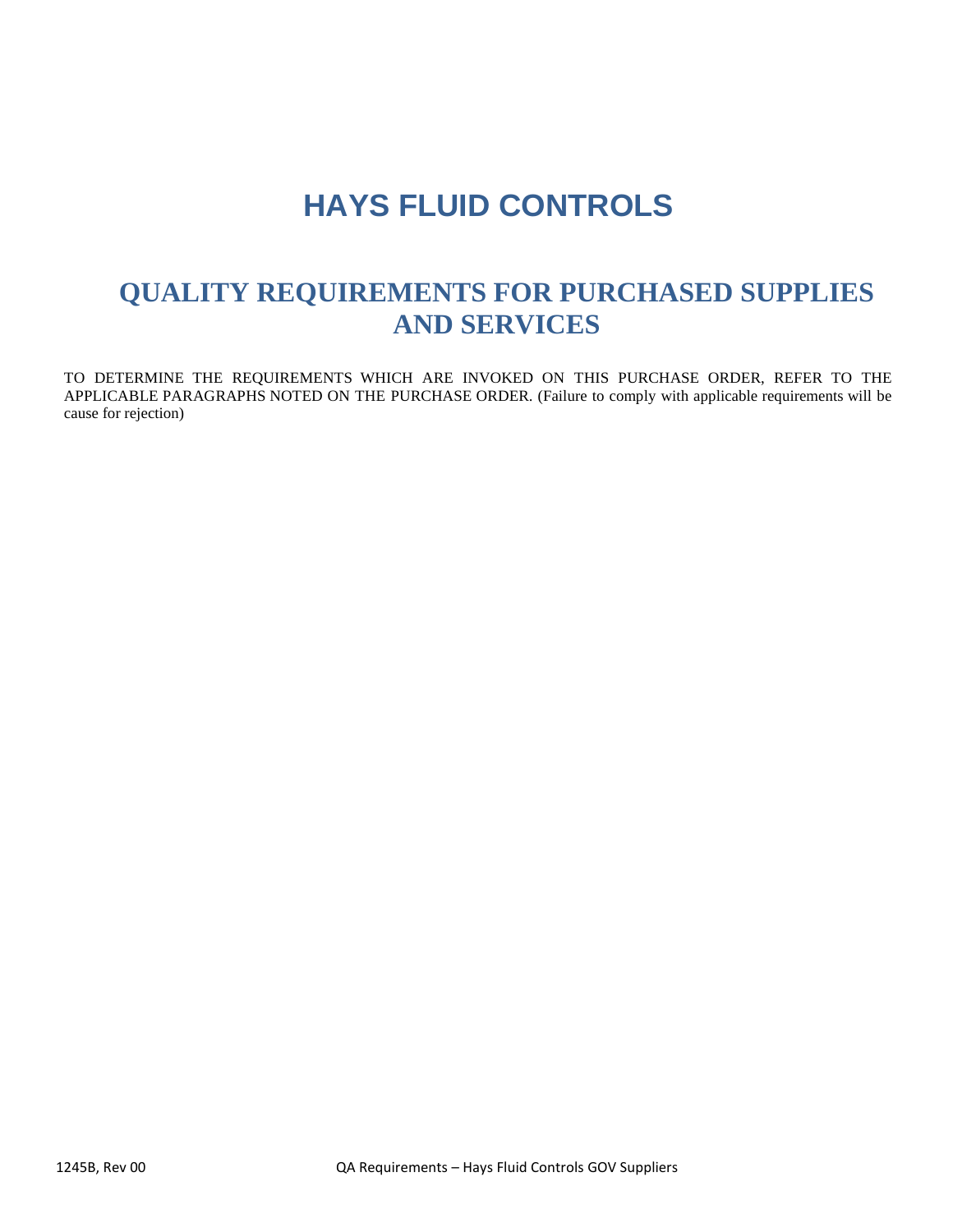# **HAYS FLUID CONTROLS**

# **QUALITY REQUIREMENTS FOR PURCHASED SUPPLIES AND SERVICES**

TO DETERMINE THE REQUIREMENTS WHICH ARE INVOKED ON THIS PURCHASE ORDER, REFER TO THE APPLICABLE PARAGRAPHS NOTED ON THE PURCHASE ORDER. (Failure to comply with applicable requirements will be cause for rejection)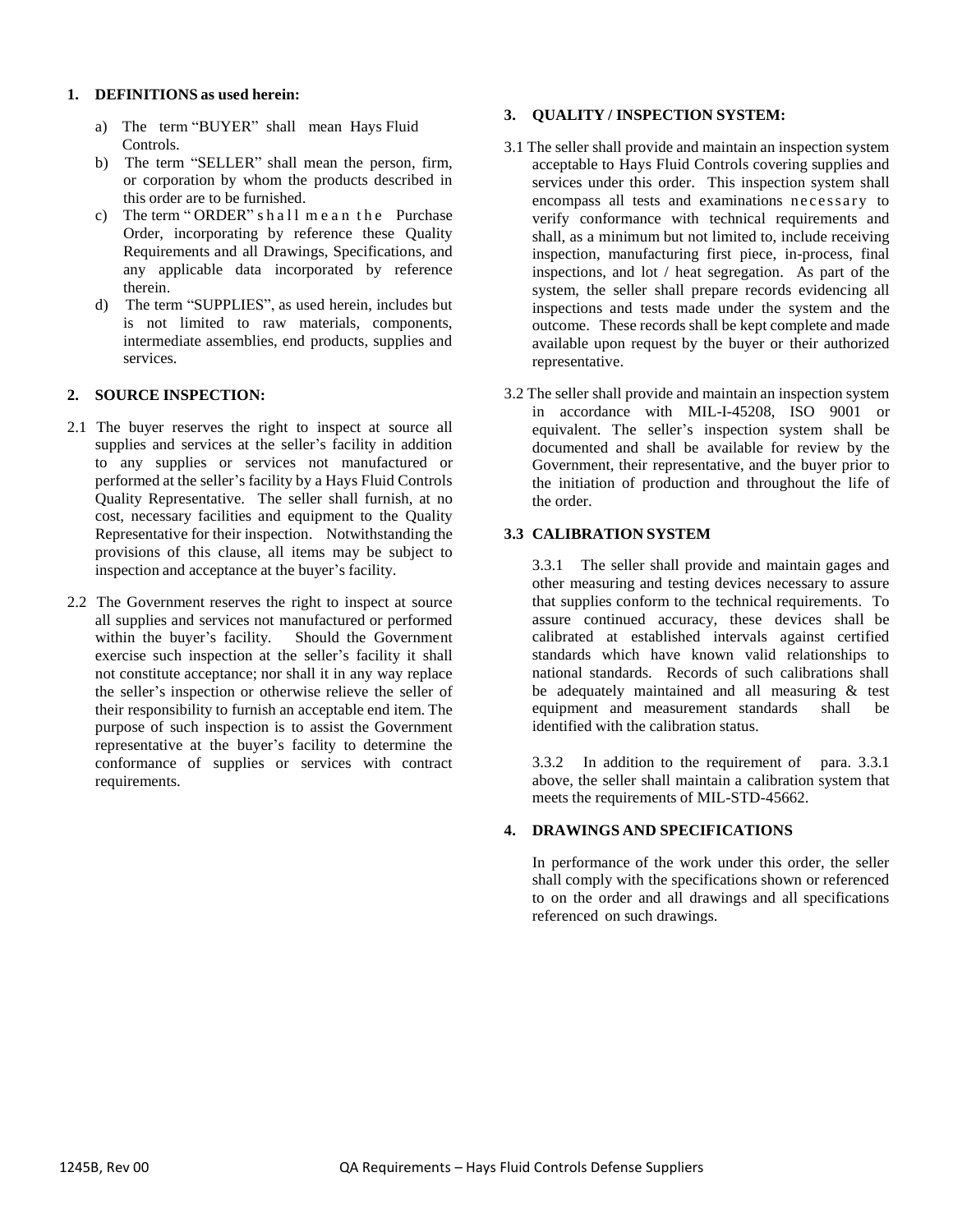#### **1. DEFINITIONS as used herein:**

- a) The term "BUYER" shall mean Hays Fluid Controls.
- b) The term "SELLER" shall mean the person, firm, or corporation by whom the products described in this order are to be furnished.
- c) The term "ORDER" shall me an the Purchase Order, incorporating by reference these Quality Requirements and all Drawings, Specifications, and any applicable data incorporated by reference therein.
- d) The term "SUPPLIES", as used herein, includes but is not limited to raw materials, components, intermediate assemblies, end products, supplies and services.

#### **2. SOURCE INSPECTION:**

- 2.1 The buyer reserves the right to inspect at source all supplies and services at the seller's facility in addition to any supplies or services not manufactured or performed at the seller's facility by a Hays Fluid Controls Quality Representative. The seller shall furnish, at no cost, necessary facilities and equipment to the Quality Representative for their inspection. Notwithstanding the provisions of this clause, all items may be subject to inspection and acceptance at the buyer's facility.
- 2.2 The Government reserves the right to inspect at source all supplies and services not manufactured or performed within the buyer's facility. Should the Government exercise such inspection at the seller's facility it shall not constitute acceptance; nor shall it in any way replace the seller's inspection or otherwise relieve the seller of their responsibility to furnish an acceptable end item. The purpose of such inspection is to assist the Government representative at the buyer's facility to determine the conformance of supplies or services with contract requirements.

#### **3. QUALITY / INSPECTION SYSTEM:**

- 3.1 The seller shall provide and maintain an inspection system acceptable to Hays Fluid Controls covering supplies and services under this order. This inspection system shall encompass all tests and examinations necessary to verify conformance with technical requirements and shall, as a minimum but not limited to, include receiving inspection, manufacturing first piece, in-process, final inspections, and lot / heat segregation. As part of the system, the seller shall prepare records evidencing all inspections and tests made under the system and the outcome. These records shall be kept complete and made available upon request by the buyer or their authorized representative.
- 3.2 The seller shall provide and maintain an inspection system in accordance with MIL-I-45208, ISO 9001 or equivalent. The seller's inspection system shall be documented and shall be available for review by the Government, their representative, and the buyer prior to the initiation of production and throughout the life of the order.

#### **3.3 CALIBRATION SYSTEM**

3.3.1 The seller shall provide and maintain gages and other measuring and testing devices necessary to assure that supplies conform to the technical requirements. To assure continued accuracy, these devices shall be calibrated at established intervals against certified standards which have known valid relationships to national standards. Records of such calibrations shall be adequately maintained and all measuring & test equipment and measurement standards shall be identified with the calibration status.

3.3.2 In addition to the requirement of para. 3.3.1 above, the seller shall maintain a calibration system that meets the requirements of MIL-STD-45662.

#### **4. DRAWINGS AND SPECIFICATIONS**

In performance of the work under this order, the seller shall comply with the specifications shown or referenced to on the order and all drawings and all specifications referenced on such drawings.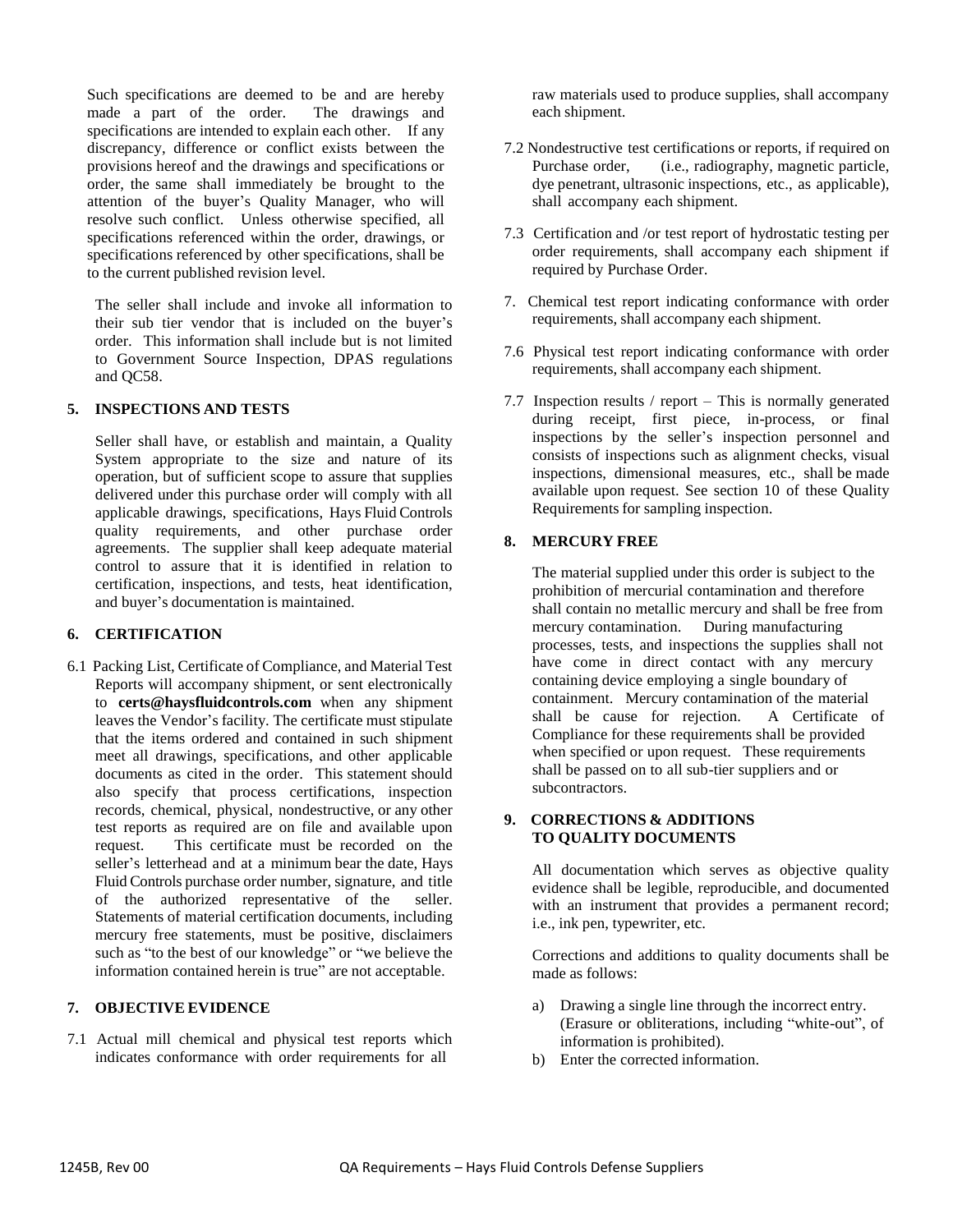Such specifications are deemed to be and are hereby made a part of the order. The drawings and specifications are intended to explain each other. If any discrepancy, difference or conflict exists between the provisions hereof and the drawings and specifications or order, the same shall immediately be brought to the attention of the buyer's Quality Manager, who will resolve such conflict. Unless otherwise specified, all specifications referenced within the order, drawings, or specifications referenced by other specifications, shall be to the current published revision level.

The seller shall include and invoke all information to their sub tier vendor that is included on the buyer's order. This information shall include but is not limited to Government Source Inspection, DPAS regulations and QC58.

#### **5. INSPECTIONS AND TESTS**

Seller shall have, or establish and maintain, a Quality System appropriate to the size and nature of its operation, but of sufficient scope to assure that supplies delivered under this purchase order will comply with all applicable drawings, specifications, Hays Fluid Controls quality requirements, and other purchase order agreements. The supplier shall keep adequate material control to assure that it is identified in relation to certification, inspections, and tests, heat identification, and buyer's documentation is maintained.

#### **6. CERTIFICATION**

6.1 Packing List, Certificate of Compliance, and Material Test Reports will accompany shipment, or sent electronically to **certs@haysfluidcontrols.com** when any shipment leaves the Vendor's facility. The certificate must stipulate that the items ordered and contained in such shipment meet all drawings, specifications, and other applicable documents as cited in the order. This statement should also specify that process certifications, inspection records, chemical, physical, nondestructive, or any other test reports as required are on file and available upon request. This certificate must be recorded on the seller's letterhead and at a minimum bear the date, Hays Fluid Controls purchase order number, signature, and title of the authorized representative of the seller. Statements of material certification documents, including mercury free statements, must be positive, disclaimers such as "to the best of our knowledge" or "we believe the information contained herein is true" are not acceptable.

#### **7. OBJECTIVE EVIDENCE**

7.1 Actual mill chemical and physical test reports which indicates conformance with order requirements for all

raw materials used to produce supplies, shall accompany each shipment.

- 7.2 Nondestructive test certifications or reports, if required on Purchase order, (i.e., radiography, magnetic particle, dye penetrant, ultrasonic inspections, etc., as applicable), shall accompany each shipment.
- 7.3 Certification and /or test report of hydrostatic testing per order requirements, shall accompany each shipment if required by Purchase Order.
- 7. Chemical test report indicating conformance with order requirements, shall accompany each shipment.
- 7.6 Physical test report indicating conformance with order requirements, shall accompany each shipment.
- 7.7 Inspection results / report This is normally generated during receipt, first piece, in-process, or final inspections by the seller's inspection personnel and consists of inspections such as alignment checks, visual inspections, dimensional measures, etc., shall be made available upon request. See section 10 of these Quality Requirements for sampling inspection.

#### **8. MERCURY FREE**

The material supplied under this order is subject to the prohibition of mercurial contamination and therefore shall contain no metallic mercury and shall be free from mercury contamination. During manufacturing processes, tests, and inspections the supplies shall not have come in direct contact with any mercury containing device employing a single boundary of containment. Mercury contamination of the material shall be cause for rejection. A Certificate of Compliance for these requirements shall be provided when specified or upon request. These requirements shall be passed on to all sub-tier suppliers and or subcontractors.

#### **9. CORRECTIONS & ADDITIONS TO QUALITY DOCUMENTS**

All documentation which serves as objective quality evidence shall be legible, reproducible, and documented with an instrument that provides a permanent record; i.e., ink pen, typewriter, etc.

Corrections and additions to quality documents shall be made as follows:

- a) Drawing a single line through the incorrect entry. (Erasure or obliterations, including "white-out", of information is prohibited).
- b) Enter the corrected information.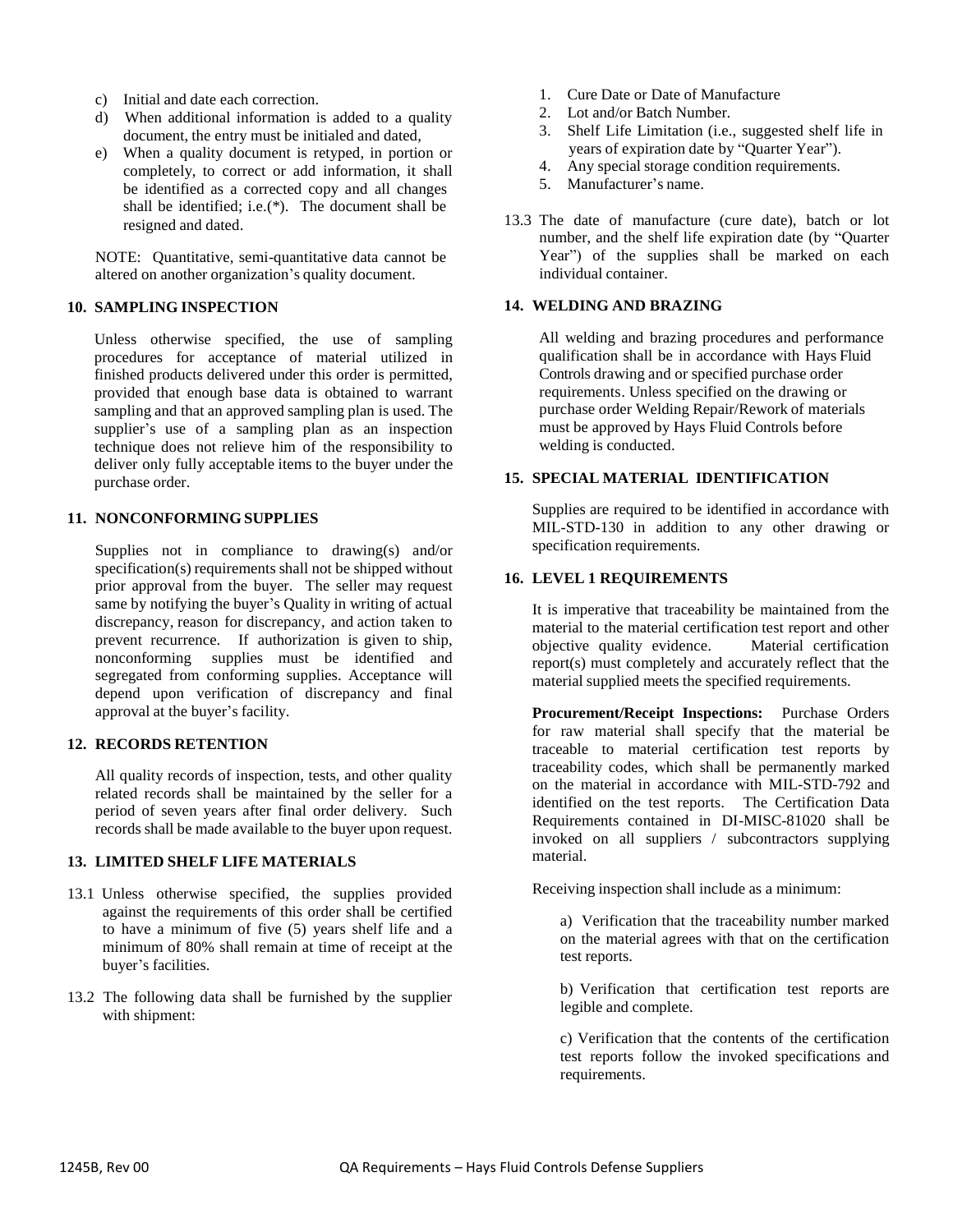- c) Initial and date each correction.
- d) When additional information is added to a quality document, the entry must be initialed and dated,
- e) When a quality document is retyped, in portion or completely, to correct or add information, it shall be identified as a corrected copy and all changes shall be identified; i.e.(\*). The document shall be resigned and dated.

NOTE: Quantitative, semi-quantitative data cannot be altered on another organization's quality document.

#### **10. SAMPLING INSPECTION**

Unless otherwise specified, the use of sampling procedures for acceptance of material utilized in finished products delivered under this order is permitted, provided that enough base data is obtained to warrant sampling and that an approved sampling plan is used. The supplier's use of a sampling plan as an inspection technique does not relieve him of the responsibility to deliver only fully acceptable items to the buyer under the purchase order.

#### **11. NONCONFORMING SUPPLIES**

Supplies not in compliance to drawing(s) and/or specification(s) requirements shall not be shipped without prior approval from the buyer. The seller may request same by notifying the buyer's Quality in writing of actual discrepancy, reason for discrepancy, and action taken to prevent recurrence. If authorization is given to ship, nonconforming supplies must be identified and segregated from conforming supplies. Acceptance will depend upon verification of discrepancy and final approval at the buyer's facility.

### **12. RECORDS RETENTION**

All quality records of inspection, tests, and other quality related records shall be maintained by the seller for a period of seven years after final order delivery. Such records shall be made available to the buyer upon request.

#### **13. LIMITED SHELF LIFE MATERIALS**

- 13.1 Unless otherwise specified, the supplies provided against the requirements of this order shall be certified to have a minimum of five (5) years shelf life and a minimum of 80% shall remain at time of receipt at the buyer's facilities.
- 13.2 The following data shall be furnished by the supplier with shipment:
- 1. Cure Date or Date of Manufacture
- 2. Lot and/or Batch Number.
- 3. Shelf Life Limitation (i.e., suggested shelf life in years of expiration date by "Quarter Year").
- 4. Any special storage condition requirements.
- 5. Manufacturer's name.
- 13.3 The date of manufacture (cure date), batch or lot number, and the shelf life expiration date (by "Quarter Year") of the supplies shall be marked on each individual container.

#### **14. WELDING AND BRAZING**

All welding and brazing procedures and performance qualification shall be in accordance with Hays Fluid Controls drawing and or specified purchase order requirements. Unless specified on the drawing or purchase order Welding Repair/Rework of materials must be approved by Hays Fluid Controls before welding is conducted.

#### **15. SPECIAL MATERIAL IDENTIFICATION**

Supplies are required to be identified in accordance with MIL-STD-130 in addition to any other drawing or specification requirements.

#### **16. LEVEL 1 REQUIREMENTS**

It is imperative that traceability be maintained from the material to the material certification test report and other objective quality evidence. Material certification report(s) must completely and accurately reflect that the material supplied meets the specified requirements.

**Procurement/Receipt Inspections:** Purchase Orders for raw material shall specify that the material be traceable to material certification test reports by traceability codes, which shall be permanently marked on the material in accordance with MIL-STD-792 and identified on the test reports. The Certification Data Requirements contained in DI-MISC-81020 shall be invoked on all suppliers / subcontractors supplying material.

Receiving inspection shall include as a minimum:

a) Verification that the traceability number marked on the material agrees with that on the certification test reports.

b) Verification that certification test reports are legible and complete.

c) Verification that the contents of the certification test reports follow the invoked specifications and requirements.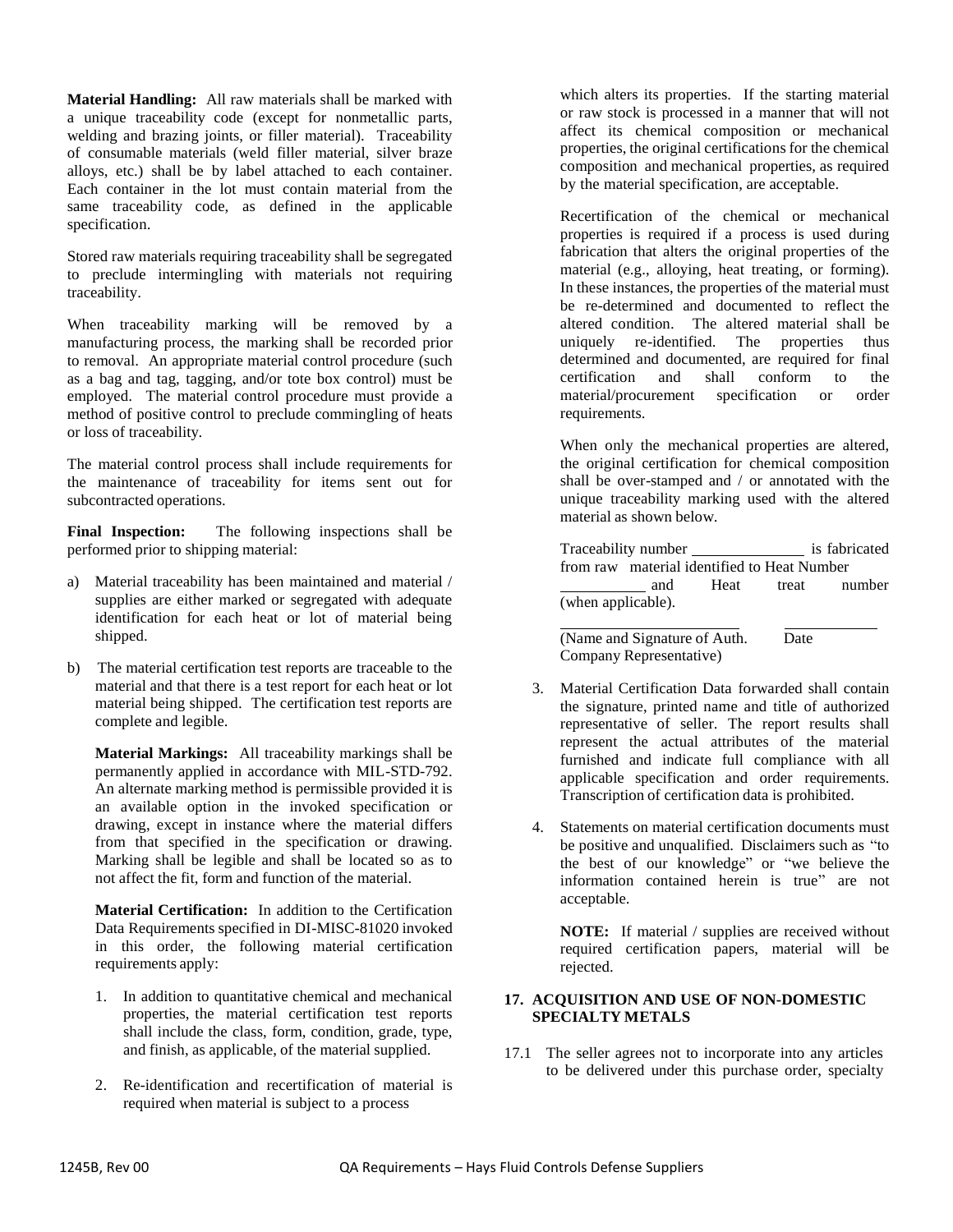**Material Handling:** All raw materials shall be marked with a unique traceability code (except for nonmetallic parts, welding and brazing joints, or filler material). Traceability of consumable materials (weld filler material, silver braze alloys, etc.) shall be by label attached to each container. Each container in the lot must contain material from the same traceability code, as defined in the applicable specification.

Stored raw materials requiring traceability shall be segregated to preclude intermingling with materials not requiring traceability.

When traceability marking will be removed by a manufacturing process, the marking shall be recorded prior to removal. An appropriate material control procedure (such as a bag and tag, tagging, and/or tote box control) must be employed. The material control procedure must provide a method of positive control to preclude commingling of heats or loss of traceability.

The material control process shall include requirements for the maintenance of traceability for items sent out for subcontracted operations.

**Final Inspection:** The following inspections shall be performed prior to shipping material:

- a) Material traceability has been maintained and material / supplies are either marked or segregated with adequate identification for each heat or lot of material being shipped.
- b) The material certification test reports are traceable to the material and that there is a test report for each heat or lot material being shipped. The certification test reports are complete and legible.

**Material Markings:** All traceability markings shall be permanently applied in accordance with MIL-STD-792. An alternate marking method is permissible provided it is an available option in the invoked specification or drawing, except in instance where the material differs from that specified in the specification or drawing. Marking shall be legible and shall be located so as to not affect the fit, form and function of the material.

**Material Certification:** In addition to the Certification Data Requirements specified in DI-MISC-81020 invoked in this order, the following material certification requirements apply:

- 1. In addition to quantitative chemical and mechanical properties, the material certification test reports shall include the class, form, condition, grade, type, and finish, as applicable, of the material supplied.
- 2. Re-identification and recertification of material is required when material is subject to a process

which alters its properties. If the starting material or raw stock is processed in a manner that will not affect its chemical composition or mechanical properties, the original certifications for the chemical composition and mechanical properties, as required by the material specification, are acceptable.

Recertification of the chemical or mechanical properties is required if a process is used during fabrication that alters the original properties of the material (e.g., alloying, heat treating, or forming). In these instances, the properties of the material must be re-determined and documented to reflect the altered condition. The altered material shall be uniquely re-identified. The properties thus determined and documented, are required for final certification and shall conform to the material/procurement specification or order requirements.

When only the mechanical properties are altered, the original certification for chemical composition shall be over-stamped and / or annotated with the unique traceability marking used with the altered material as shown below.

|                    |                                             |      |       | is fabricated |  |
|--------------------|---------------------------------------------|------|-------|---------------|--|
|                    | from raw material identified to Heat Number |      |       |               |  |
|                    | and                                         | Heat | treat | number        |  |
| (when applicable). |                                             |      |       |               |  |

(Name and Signature of Auth. Date Company Representative)

- 3. Material Certification Data forwarded shall contain the signature, printed name and title of authorized representative of seller. The report results shall represent the actual attributes of the material furnished and indicate full compliance with all applicable specification and order requirements.
- 4. Statements on material certification documents must be positive and unqualified. Disclaimers such as "to the best of our knowledge" or "we believe the information contained herein is true" are not acceptable.

Transcription of certification data is prohibited.

**NOTE:** If material / supplies are received without required certification papers, material will be rejected.

#### **17. ACQUISITION AND USE OF NON-DOMESTIC SPECIALTY METALS**

17.1 The seller agrees not to incorporate into any articles to be delivered under this purchase order, specialty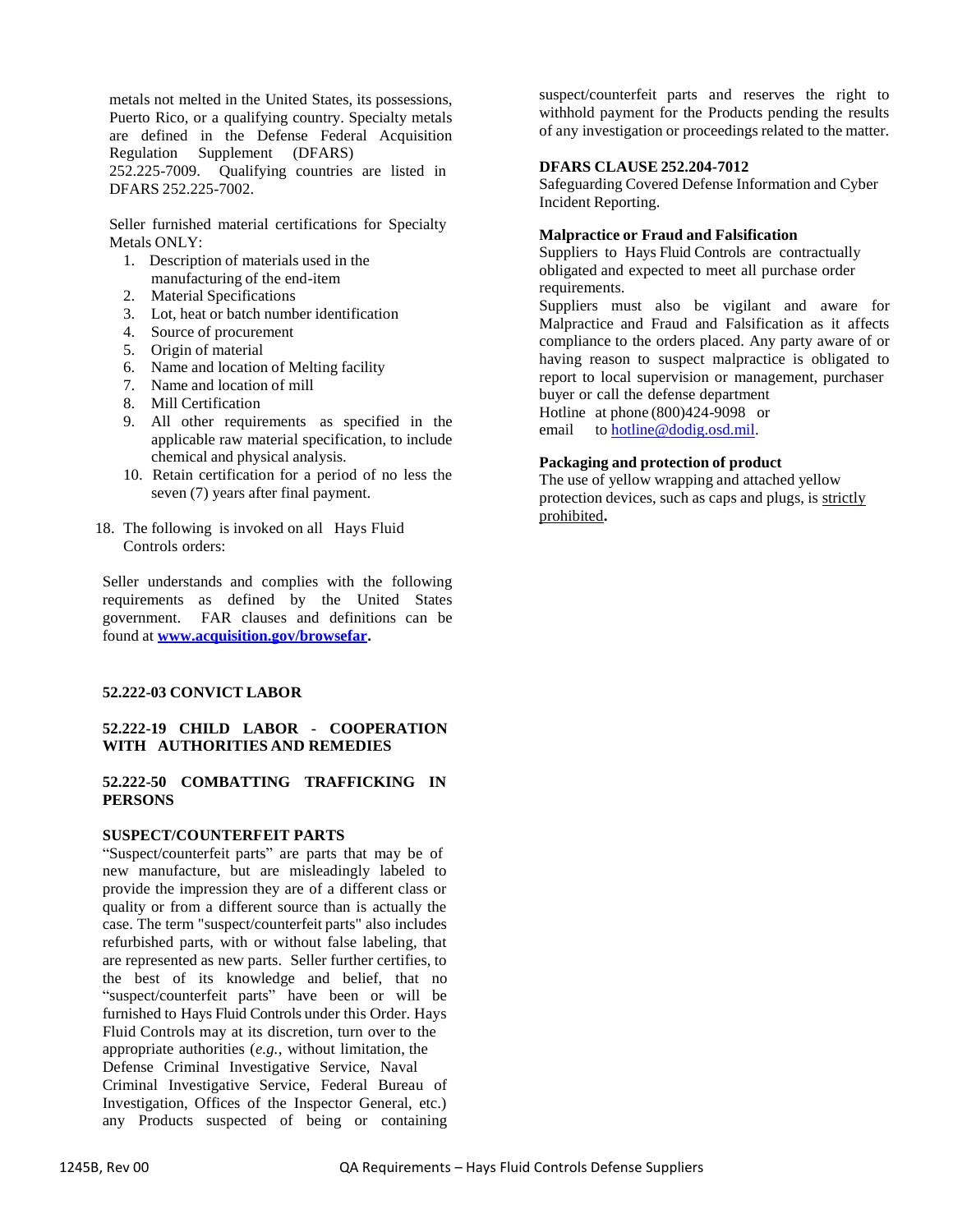metals not melted in the United States, its possessions, Puerto Rico, or a qualifying country. Specialty metals are defined in the Defense Federal Acquisition Regulation Supplement (DFARS) 252.225-7009. Qualifying countries are listed in DFARS 252.225-7002.

Seller furnished material certifications for Specialty Metals ONLY:

- 1. Description of materials used in the manufacturing of the end-item
- 2. Material Specifications
- 3. Lot, heat or batch number identification
- 4. Source of procurement
- 5. Origin of material
- 6. Name and location of Melting facility
- 7. Name and location of mill
- 8. Mill Certification
- 9. All other requirements as specified in the applicable raw material specification, to include chemical and physical analysis.
- 10. Retain certification for a period of no less the seven (7) years after final payment.
- 18. The following is invoked on all Hays Fluid Controls orders:

Seller understands and complies with the following requirements as defined by the United States government. FAR clauses and definitions can be found at **[www.acquisition.gov/browsefar.](file:///C:/Users/sherrillg/Downloads/www.acquisition.gov/browsefar)**

#### **52.222-03 CONVICT LABOR**

#### **52.222-19 CHILD LABOR - COOPERATION WITH AUTHORITIES AND REMEDIES**

#### **52.222-50 COMBATTING TRAFFICKING IN PERSONS**

#### **SUSPECT/COUNTERFEIT PARTS**

"Suspect/counterfeit parts" are parts that may be of new manufacture, but are misleadingly labeled to provide the impression they are of a different class or quality or from a different source than is actually the case. The term "suspect/counterfeit parts" also includes refurbished parts, with or without false labeling, that are represented as new parts. Seller further certifies, to the best of its knowledge and belief, that no "suspect/counterfeit parts" have been or will be furnished to Hays Fluid Controls under this Order. Hays Fluid Controls may at its discretion, turn over to the appropriate authorities (*e.g.*, without limitation, the Defense Criminal Investigative Service, Naval Criminal Investigative Service, Federal Bureau of Investigation, Offices of the Inspector General, etc.) any Products suspected of being or containing

suspect/counterfeit parts and reserves the right to withhold payment for the Products pending the results of any investigation or proceedings related to the matter.

#### **DFARS CLAUSE 252.204-7012**

Safeguarding Covered Defense Information and Cyber Incident Reporting.

#### **Malpractice or Fraud and Falsification**

Suppliers to Hays Fluid Controls are contractually obligated and expected to meet all purchase order requirements.

Suppliers must also be vigilant and aware for Malpractice and Fraud and Falsification as it affects compliance to the orders placed. Any party aware of or having reason to suspect malpractice is obligated to report to local supervision or management, purchaser buyer or call the defense department Hotline at phone (800)424-9098 or

email to [hotline@dodig.osd.mil.](mailto:hotline@dodig.osd.mil)

#### **Packaging and protection of product**

The use of yellow wrapping and attached yellow protection devices, such as caps and plugs, is strictly prohibited**.**